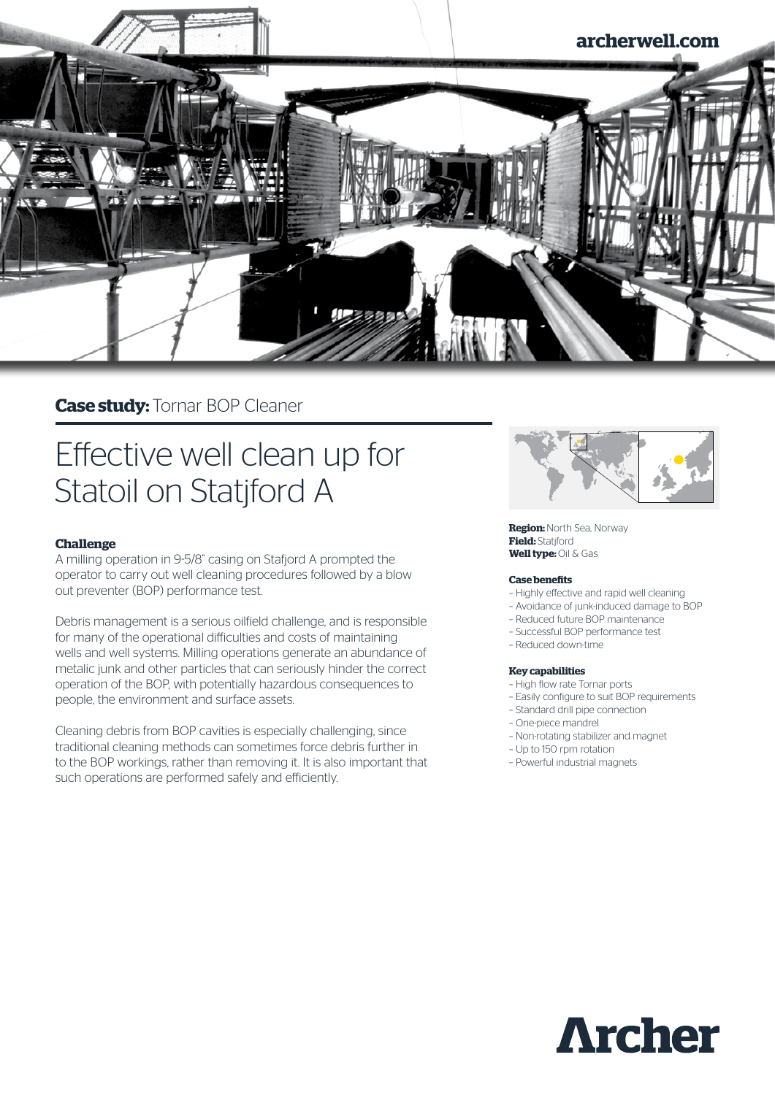

# **Case study:** Tornar BOP Cleaner

# Effective well clean up for Statoil on Statjford A

# **Challenge**

A milling operation in 9-5/8" casing on Stafjord A prompted the operator to carry out well cleaning procedures followed by a blow out preventer (BOP) performance test.

Debris management is a serious oilfield challenge, and is responsible for many of the operational difficulties and costs of maintaining wells and well systems. Milling operations generate an abundance of metalic junk and other particles that can seriously hinder the correct operation of the BOP, with potentially hazardous consequences to people, the environment and surface assets.

Cleaning debris from BOP cavities is especially challenging, since traditional cleaning methods can sometimes force debris further in to the BOP workings, rather than removing it. It is also important that such operations are performed safely and efficiently.



**Region:** North Sea, Norway **Field: Statiford Well type:** Oil & Gas

#### **Case benefits**

- Highly effective and rapid well cleaning
- Avoidance of junk-induced damage to BOP
- Reduced future BOP maintenance
- Successful BOP performance test
- Reduced down-time

#### **Key capabilities**

- High flow rate Tornar ports
- Easily configure to suit BOP requirements
- Standard drill pipe connection
- One-piece mandrel
- Non-rotating stabilizer and magnet
- Up to 150 rpm rotation
- Powerful industrial magnets